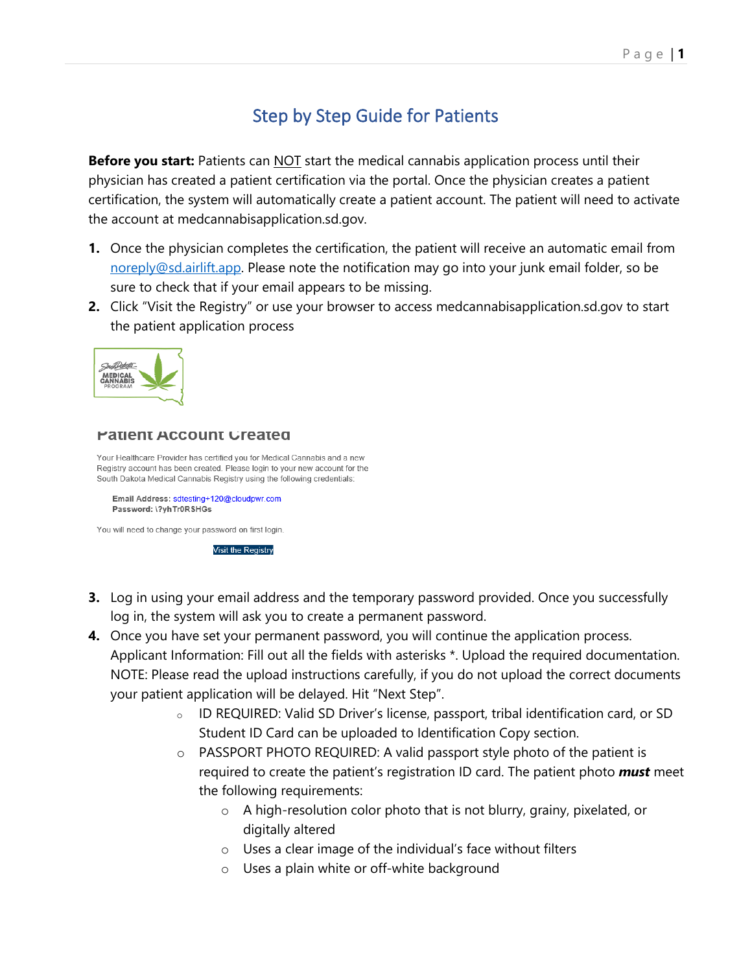# Step by Step Guide for Patients

**Before you start:** Patients can **NOT** start the medical cannabis application process until their physician has created a patient certification via the portal. Once the physician creates a patient certification, the system will automatically create a patient account. The patient will need to activate the account at medcannabisapplication.sd.gov.

- **1.** Once the physician completes the certification, the patient will receive an automatic email from [noreply@sd.airlift.app.](mailto:noreply@sd.airlift.app) Please note the notification may go into your junk email folder, so be sure to check that if your email appears to be missing.
- **2.** Click "Visit the Registry" or use your browser to access medcannabisapplication.sd.gov to start the patient application process



#### **Patient Account Greated**

Your Healthcare Provider has certified you for Medical Cannabis and a new Registry account has been created. Please login to your new account for the South Dakota Medical Cannabis Registry using the following credentials:

Email Address: sdtesting+120@cloudpwr.com Password: \?yhTr0RSHGs

You will need to change your password on first login.

**Visit the Registry** 

- **3.** Log in using your email address and the temporary password provided. Once you successfully log in, the system will ask you to create a permanent password.
- **4.** Once you have set your permanent password, you will continue the application process. Applicant Information: Fill out all the fields with asterisks \*. Upload the required documentation. NOTE: Please read the upload instructions carefully, if you do not upload the correct documents your patient application will be delayed. Hit "Next Step".
	- <sup>o</sup> ID REQUIRED: Valid SD Driver's license, passport, tribal identification card, or SD Student ID Card can be uploaded to Identification Copy section.
	- $\circ$  PASSPORT PHOTO REQUIRED: A valid passport style photo of the patient is required to create the patient's registration ID card. The patient photo *must* meet the following requirements:
		- o A high-resolution color photo that is not blurry, grainy, pixelated, or digitally altered
		- o Uses a clear image of the individual's face without filters
		- o Uses a plain white or off-white background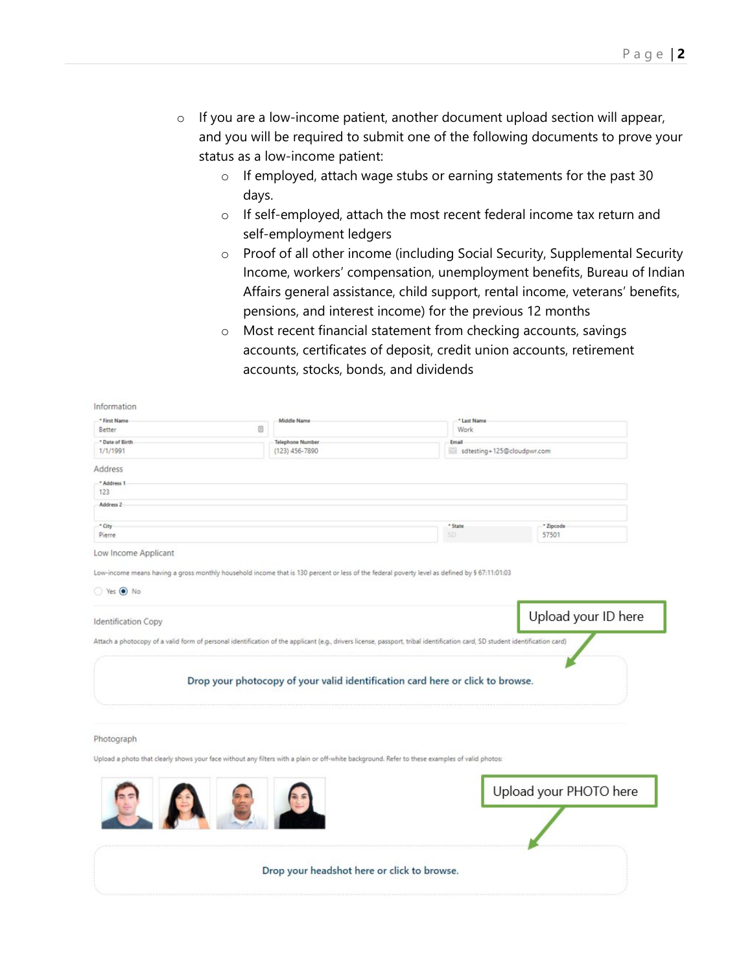- o If you are a low-income patient, another document upload section will appear, and you will be required to submit one of the following documents to prove your status as a low-income patient:
	- o If employed, attach wage stubs or earning statements for the past 30 days.
	- o If self-employed, attach the most recent federal income tax return and self-employment ledgers
	- o Proof of all other income (including Social Security, Supplemental Security Income, workers' compensation, unemployment benefits, Bureau of Indian Affairs general assistance, child support, rental income, veterans' benefits, pensions, and interest income) for the previous 12 months
	- o Most recent financial statement from checking accounts, savings accounts, certificates of deposit, credit union accounts, retirement accounts, stocks, bonds, and dividends

| * First Name<br>Middle Name<br>* Last Name<br>◫<br>Better<br>Work<br>* Date of Birth<br><b>Telephone Number</b><br>Email<br>1/1/1991<br>sdtesting+125@cloudpwr.com<br>$(123)$ 456-7890 |                        |
|----------------------------------------------------------------------------------------------------------------------------------------------------------------------------------------|------------------------|
|                                                                                                                                                                                        |                        |
|                                                                                                                                                                                        |                        |
|                                                                                                                                                                                        |                        |
|                                                                                                                                                                                        |                        |
| Address                                                                                                                                                                                |                        |
| * Address 1                                                                                                                                                                            |                        |
| 123                                                                                                                                                                                    |                        |
| Address 2                                                                                                                                                                              |                        |
|                                                                                                                                                                                        |                        |
| * City<br>* State<br>SD:<br>Pierre                                                                                                                                                     | * Zipcode<br>57501     |
|                                                                                                                                                                                        |                        |
| Low Income Applicant                                                                                                                                                                   |                        |
|                                                                                                                                                                                        |                        |
| Low-income means having a gross monthly household income that is 130 percent or less of the federal poverty level as defined by § 67:11:01:03                                          |                        |
| Yes <sup>O</sup> No                                                                                                                                                                    |                        |
|                                                                                                                                                                                        |                        |
|                                                                                                                                                                                        | Upload your ID here    |
| <b>Identification Copy</b>                                                                                                                                                             |                        |
| Attach a photocopy of a valid form of personal identification of the applicant (e.g., drivers license, passport, tribal identification card, SD student identification card)           |                        |
|                                                                                                                                                                                        |                        |
|                                                                                                                                                                                        |                        |
| Drop your photocopy of your valid identification card here or click to browse.                                                                                                         |                        |
|                                                                                                                                                                                        |                        |
|                                                                                                                                                                                        |                        |
|                                                                                                                                                                                        |                        |
|                                                                                                                                                                                        |                        |
|                                                                                                                                                                                        |                        |
|                                                                                                                                                                                        |                        |
| Photograph                                                                                                                                                                             |                        |
| Upload a photo that clearly shows your face without any filters with a plain or off-white background. Refer to these examples of valid photos:                                         |                        |
|                                                                                                                                                                                        |                        |
|                                                                                                                                                                                        |                        |
|                                                                                                                                                                                        | Upload your PHOTO here |
|                                                                                                                                                                                        |                        |
|                                                                                                                                                                                        |                        |
|                                                                                                                                                                                        |                        |
|                                                                                                                                                                                        |                        |
|                                                                                                                                                                                        |                        |
|                                                                                                                                                                                        |                        |
| Drop your headshot here or click to browse.                                                                                                                                            |                        |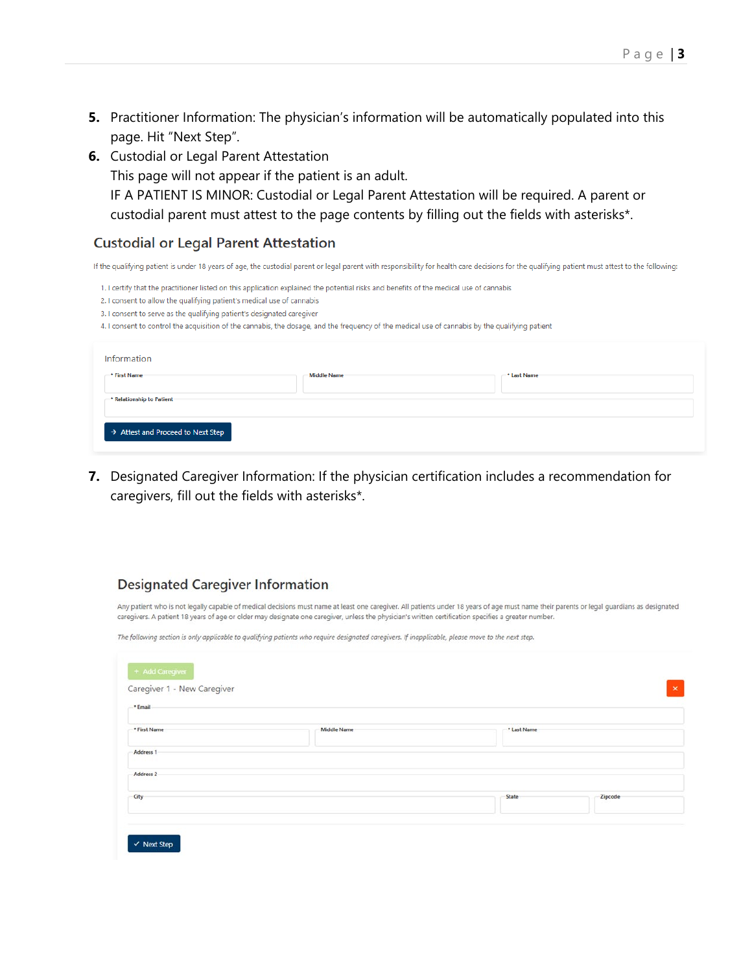- **5.** Practitioner Information: The physician's information will be automatically populated into this page. Hit "Next Step".
- **6.** Custodial or Legal Parent Attestation

This page will not appear if the patient is an adult. IF A PATIENT IS MINOR: Custodial or Legal Parent Attestation will be required. A parent or custodial parent must attest to the page contents by filling out the fields with asterisks\*.

#### **Custodial or Legal Parent Attestation**

If the qualifying patient is under 18 years of age, the custodial parent or legal parent with responsibility for health care decisions for the qualifying patient must attest to the following:

1. I certify that the practitioner listed on this application explained the potential risks and benefits of the medical use of cannabis

- 2. I consent to allow the qualifying patient's medical use of cannabis
- 3. I consent to serve as the qualifying patient's designated caregiver
- 4. I consent to control the acquisition of the cannabis, the dosage, and the frequency of the medical use of cannabis by the qualifying patient

| Information                     |             |             |
|---------------------------------|-------------|-------------|
| * First Name                    | Middle Name | * Last Name |
| *** Relationship to Patient-    |             |             |
| Attest and Proceed to Next Step |             |             |

**7.** Designated Caregiver Information: If the physician certification includes a recommendation for caregivers, fill out the fields with asterisks\*.

#### **Designated Caregiver Information**

Any patient who is not legally capable of medical decisions must name at least one caregiver. All patients under 18 years of age must name their parents or legal guardians as designated caregivers. A patient 18 years of age or older may designate one caregiver, unless the physician's written certification specifies a greater number.

The following section is only applicable to qualifying patients who require designated caregivers. If inapplicable, please move to the next step.

| * Email              |                    |             |         |  |
|----------------------|--------------------|-------------|---------|--|
| * First Name         | <b>Middle Name</b> | * Last Name |         |  |
| Address 1            |                    |             |         |  |
| Address <sub>2</sub> |                    |             |         |  |
| City                 |                    | State       | Zipcode |  |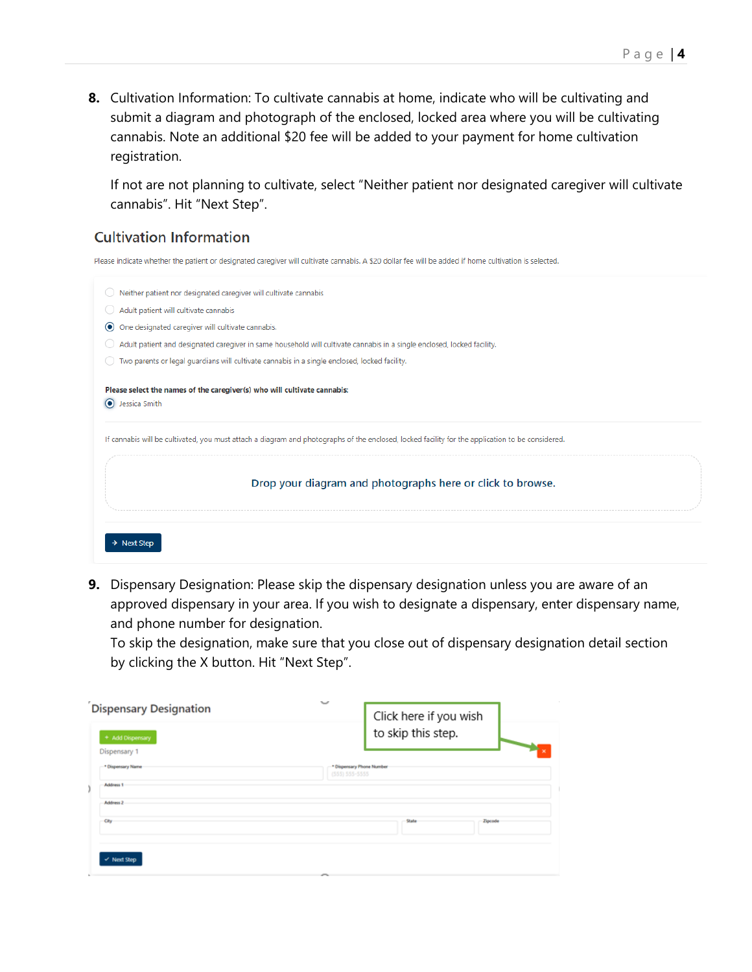**8.** Cultivation Information: To cultivate cannabis at home, indicate who will be cultivating and submit a diagram and photograph of the enclosed, locked area where you will be cultivating cannabis. Note an additional \$20 fee will be added to your payment for home cultivation registration.

If not are not planning to cultivate, select "Neither patient nor designated caregiver will cultivate cannabis". Hit "Next Step".

### **Cultivation Information**

Please indicate whether the patient or designated caregiver will cultivate cannabis. A \$20 dollar fee will be added if home cultivation is selected.



**9.** Dispensary Designation: Please skip the dispensary designation unless you are aware of an approved dispensary in your area. If you wish to designate a dispensary, enter dispensary name, and phone number for designation.

To skip the designation, make sure that you close out of dispensary designation detail section by clicking the X button. Hit "Next Step".

| <b>Dispensary Designation</b><br>+ Add Dispensary | $\checkmark$<br>Click here if you wish<br>to skip this step. |
|---------------------------------------------------|--------------------------------------------------------------|
| Dispensary 1                                      |                                                              |
| * Dispensary Name<br>Address 1                    | * Dispensary Phone Number<br>$(555) 555 - 5555$              |
| <b>Address 2</b>                                  |                                                              |
| City                                              | State<br>Zipcode                                             |
| v Next Step                                       | r.                                                           |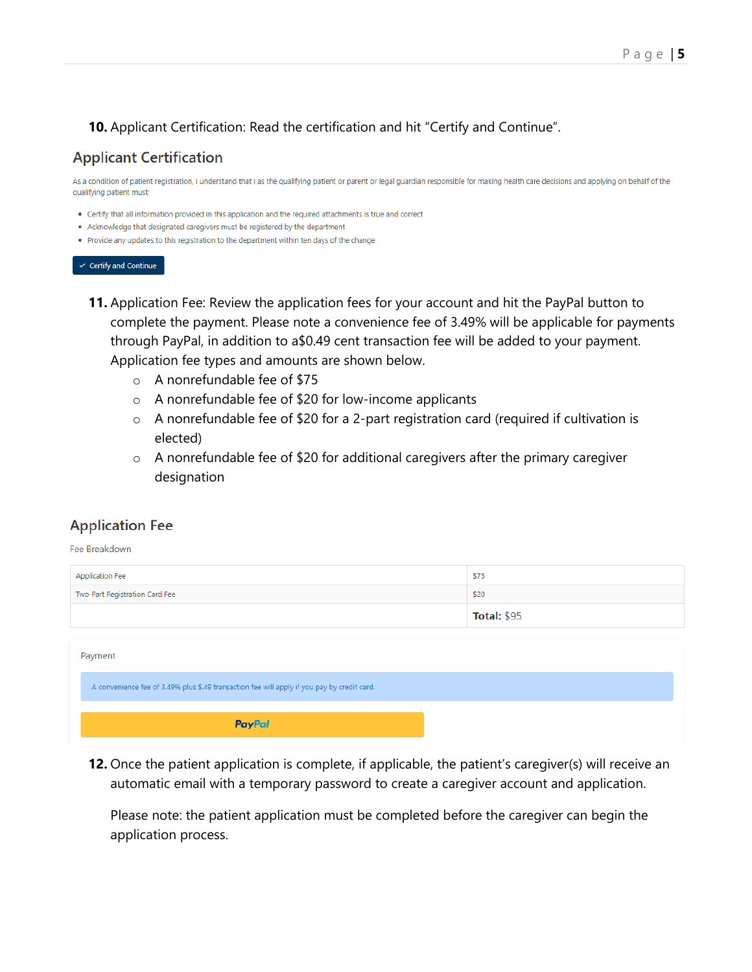## **10.** Applicant Certification: Read the certification and hit "Certify and Continue".

# **Applicant Certification**

As a condition of patient registration, I understand that I as the qualifying patient or parent or legal guardian responsible for making health care decisions and applying on behalf of the qualifying patient must:

- Certify that all information provided in this application and the required attachments is true and correct
- Acknowledge that designated caregivers must be registered by the department
- . Provide any updates to this registration to the department within ten days of the change

#### $\checkmark$  Certify and Continue

- **11.** Application Fee: Review the application fees for your account and hit the PayPal button to complete the payment. Please note a convenience fee of 3.49% will be applicable for payments through PayPal, in addition to a\$0.49 cent transaction fee will be added to your payment. Application fee types and amounts are shown below.
	- o A nonrefundable fee of \$75
	- o A nonrefundable fee of \$20 for low-income applicants
	- o A nonrefundable fee of \$20 for a 2-part registration card (required if cultivation is elected)
	- o A nonrefundable fee of \$20 for additional caregivers after the primary caregiver designation

#### **Application Fee**

Fee Breakdown

| <b>Application Fee</b>                                                                      | \$75               |  |  |
|---------------------------------------------------------------------------------------------|--------------------|--|--|
| Two-Part Registration Card Fee                                                              | \$20               |  |  |
|                                                                                             | <b>Total: \$95</b> |  |  |
| Payment                                                                                     |                    |  |  |
| A convenience fee of 3.49% plus \$.49 transaction fee will apply if you pay by credit card. |                    |  |  |
| <b>PayPal</b>                                                                               |                    |  |  |

**12.** Once the patient application is complete, if applicable, the patient's caregiver(s) will receive an automatic email with a temporary password to create a caregiver account and application.

Please note: the patient application must be completed before the caregiver can begin the application process.